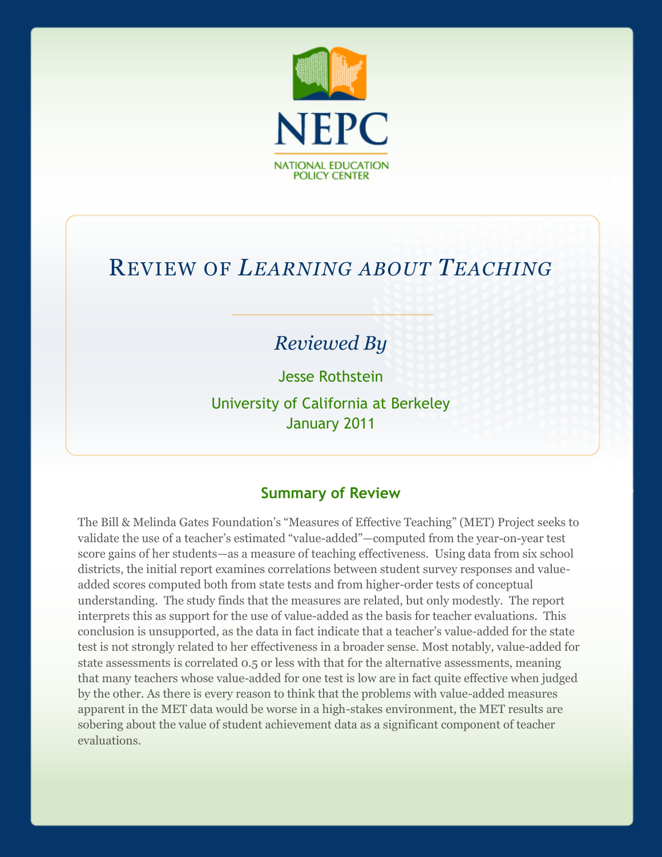

# REVIEW OF *LEARNING ABOUT TEACHING*

# *Reviewed By*

Jesse Rothstein University of California at Berkeley January 2011

#### **Summary of Review**

The Bill & Melinda Gates Foundation's "Measures of Effective Teaching" (MET) Project seeks to validate the use of a teacher's estimated "value-added"—computed from the year-on-year test score gains of her students—as a measure of teaching effectiveness. Using data from six school districts, the initial report examines correlations between student survey responses and valueadded scores computed both from state tests and from higher-order tests of conceptual understanding. The study finds that the measures are related, but only modestly. The report interprets this as support for the use of value-added as the basis for teacher evaluations. This conclusion is unsupported, as the data in fact indicate that a teacher's value-added for the state test is not strongly related to her effectiveness in a broader sense. Most notably, value-added for state assessments is correlated 0.5 or less with that for the alternative assessments, meaning that many teachers whose value-added for one test is low are in fact quite effective when judged by the other. As there is every reason to think that the problems with value-added measures apparent in the MET data would be worse in a high-stakes environment, the MET results are sobering about the value of student achievement data as a significant component of teacher evaluations.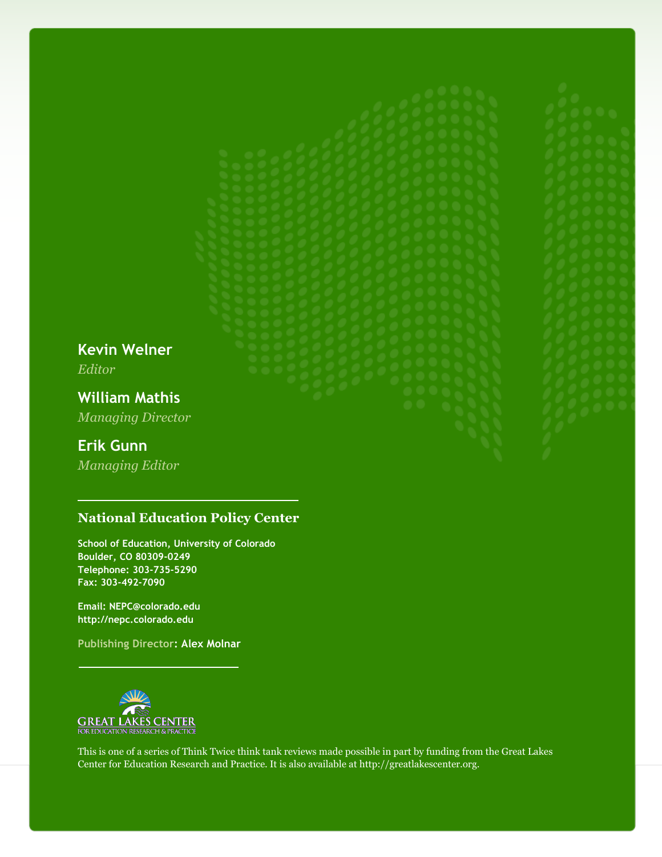**Kevin Welner** *Editor*

**William Mathis** *Managing Director*

### **Erik Gunn**

*Managing Editor*

#### **National Education Policy Center**

**School of Education, University of Colorado Boulder, CO 80309-0249 Telephone: 303-735-5290 Fax: 303-492-7090**

**Email: NEPC@colorado.edu http://nepc.colorado.edu**

**Publishing Director: Alex Molnar**



This is one of a series of Think Twice think tank reviews made possible in part by funding from the Great Lakes Center for Education Research and Practice. It is also available at http://greatlakescenter.org.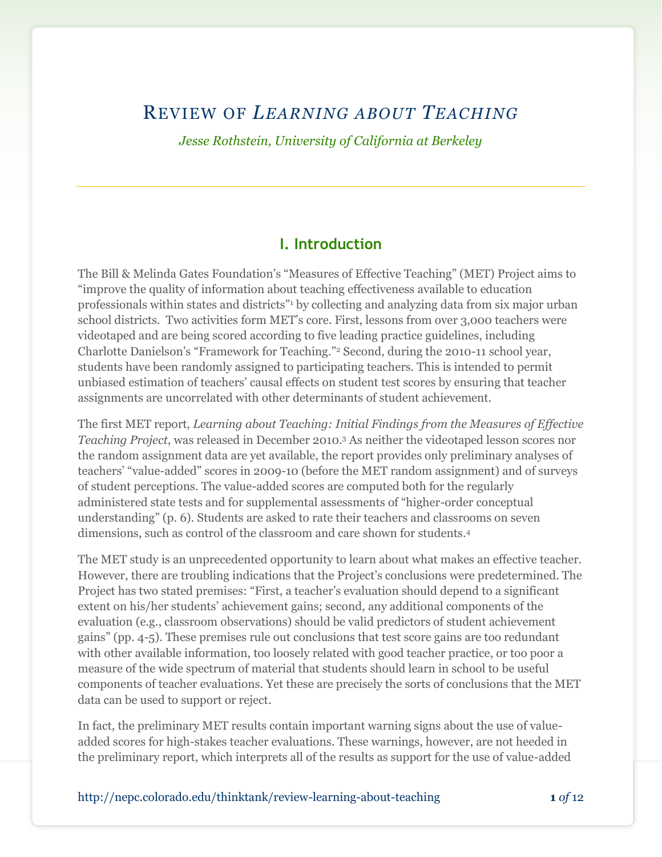# REVIEW OF *LEARNING ABOUT TEACHING*

*Jesse Rothstein, University of California at Berkeley*

#### **I. Introduction**

The Bill & Melinda Gates Foundation's "Measures of Effective Teaching" (MET) Project aims to "improve the quality of information about teaching effectiveness available to education professionals within states and districts"<sup>1</sup> by collecting and analyzing data from six major urban school districts. Two activities form MET's core. First, lessons from over 3,000 teachers were videotaped and are being scored according to five leading practice guidelines, including Charlotte Danielson's "Framework for Teaching."<sup>2</sup> Second, during the 2010-11 school year, students have been randomly assigned to participating teachers. This is intended to permit unbiased estimation of teachers' causal effects on student test scores by ensuring that teacher assignments are uncorrelated with other determinants of student achievement.

The first MET report, *Learning about Teaching: Initial Findings from the Measures of Effective Teaching Project*, was released in December 2010.<sup>3</sup> As neither the videotaped lesson scores nor the random assignment data are yet available, the report provides only preliminary analyses of teachers' "value-added" scores in 2009-10 (before the MET random assignment) and of surveys of student perceptions. The value-added scores are computed both for the regularly administered state tests and for supplemental assessments of "higher-order conceptual understanding" (p. 6). Students are asked to rate their teachers and classrooms on seven dimensions, such as control of the classroom and care shown for students.<sup>4</sup>

The MET study is an unprecedented opportunity to learn about what makes an effective teacher. However, there are troubling indications that the Project's conclusions were predetermined. The Project has two stated premises: "First, a teacher's evaluation should depend to a significant extent on his/her students' achievement gains; second, any additional components of the evaluation (e.g., classroom observations) should be valid predictors of student achievement gains" (pp. 4-5). These premises rule out conclusions that test score gains are too redundant with other available information, too loosely related with good teacher practice, or too poor a measure of the wide spectrum of material that students should learn in school to be useful components of teacher evaluations. Yet these are precisely the sorts of conclusions that the MET data can be used to support or reject.

In fact, the preliminary MET results contain important warning signs about the use of valueadded scores for high-stakes teacher evaluations. These warnings, however, are not heeded in the preliminary report, which interprets all of the results as support for the use of value-added

http://nepc.colorado.edu/thinktank/review-learning-about-teaching **1** *of* 12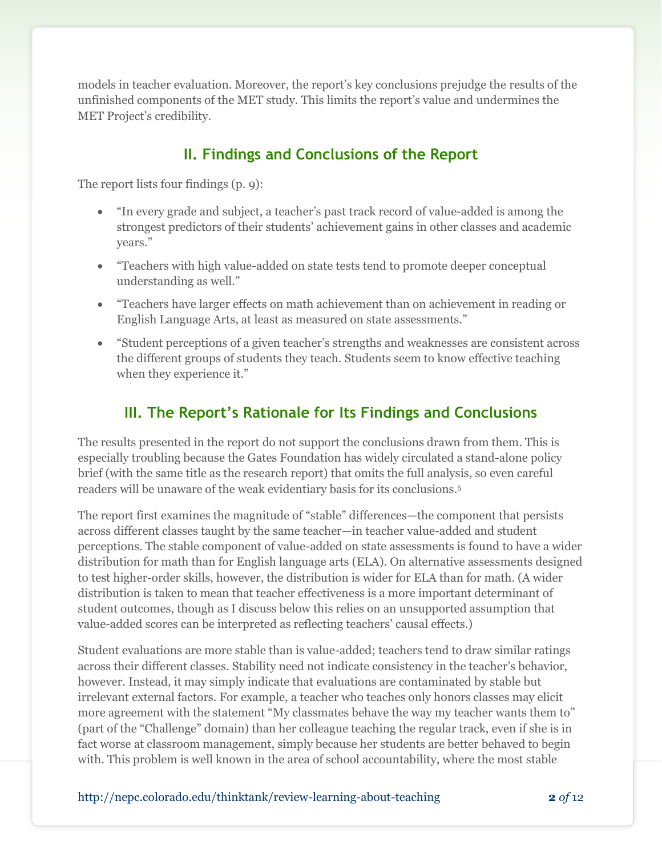models in teacher evaluation. Moreover, the report's key conclusions prejudge the results of the unfinished components of the MET study. This limits the report's value and undermines the MET Project's credibility.

# **II. Findings and Conclusions of the Report**

The report lists four findings (p. 9):

- "In every grade and subject, a teacher's past track record of value-added is among the strongest predictors of their students' achievement gains in other classes and academic years."
- "Teachers with high value-added on state tests tend to promote deeper conceptual understanding as well."
- "Teachers have larger effects on math achievement than on achievement in reading or English Language Arts, at least as measured on state assessments."
- "Student perceptions of a given teacher's strengths and weaknesses are consistent across the different groups of students they teach. Students seem to know effective teaching when they experience it."

# **III. The Report's Rationale for Its Findings and Conclusions**

The results presented in the report do not support the conclusions drawn from them. This is especially troubling because the Gates Foundation has widely circulated a stand-alone policy brief (with the same title as the research report) that omits the full analysis, so even careful readers will be unaware of the weak evidentiary basis for its conclusions.<sup>5</sup>

The report first examines the magnitude of "stable" differences—the component that persists across different classes taught by the same teacher—in teacher value-added and student perceptions. The stable component of value-added on state assessments is found to have a wider distribution for math than for English language arts (ELA). On alternative assessments designed to test higher-order skills, however, the distribution is wider for ELA than for math. (A wider distribution is taken to mean that teacher effectiveness is a more important determinant of student outcomes, though as I discuss below this relies on an unsupported assumption that value-added scores can be interpreted as reflecting teachers' causal effects.)

Student evaluations are more stable than is value-added; teachers tend to draw similar ratings across their different classes. Stability need not indicate consistency in the teacher's behavior, however. Instead, it may simply indicate that evaluations are contaminated by stable but irrelevant external factors. For example, a teacher who teaches only honors classes may elicit more agreement with the statement "My classmates behave the way my teacher wants them to" (part of the "Challenge" domain) than her colleague teaching the regular track, even if she is in fact worse at classroom management, simply because her students are better behaved to begin with. This problem is well known in the area of school accountability, where the most stable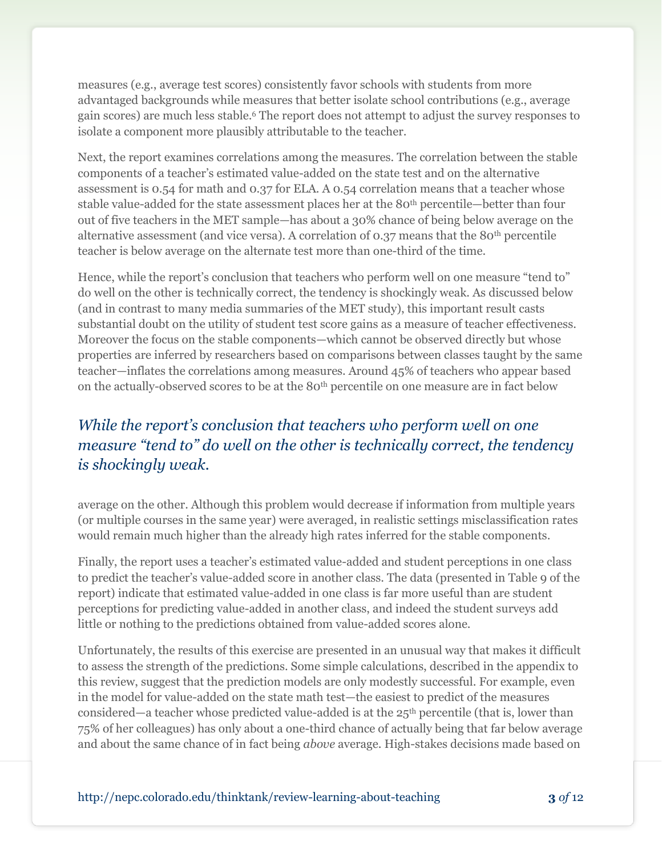measures (e.g., average test scores) consistently favor schools with students from more advantaged backgrounds while measures that better isolate school contributions (e.g., average gain scores) are much less stable.<sup>6</sup> The report does not attempt to adjust the survey responses to isolate a component more plausibly attributable to the teacher.

Next, the report examines correlations among the measures. The correlation between the stable components of a teacher's estimated value-added on the state test and on the alternative assessment is 0.54 for math and 0.37 for ELA. A 0.54 correlation means that a teacher whose stable value-added for the state assessment places her at the 80th percentile—better than four out of five teachers in the MET sample—has about a 30% chance of being below average on the alternative assessment (and vice versa). A correlation of  $0.37$  means that the 80<sup>th</sup> percentile teacher is below average on the alternate test more than one-third of the time.

Hence, while the report's conclusion that teachers who perform well on one measure "tend to" do well on the other is technically correct, the tendency is shockingly weak. As discussed below (and in contrast to many media summaries of the MET study), this important result casts substantial doubt on the utility of student test score gains as a measure of teacher effectiveness. Moreover the focus on the stable components—which cannot be observed directly but whose properties are inferred by researchers based on comparisons between classes taught by the same teacher—inflates the correlations among measures. Around 45% of teachers who appear based on the actually-observed scores to be at the 80<sup>th</sup> percentile on one measure are in fact below

# *While the report's conclusion that teachers who perform well on one measure "tend to" do well on the other is technically correct, the tendency is shockingly weak.*

average on the other. Although this problem would decrease if information from multiple years (or multiple courses in the same year) were averaged, in realistic settings misclassification rates would remain much higher than the already high rates inferred for the stable components.

Finally, the report uses a teacher's estimated value-added and student perceptions in one class to predict the teacher's value-added score in another class. The data (presented in Table 9 of the report) indicate that estimated value-added in one class is far more useful than are student perceptions for predicting value-added in another class, and indeed the student surveys add little or nothing to the predictions obtained from value-added scores alone.

Unfortunately, the results of this exercise are presented in an unusual way that makes it difficult to assess the strength of the predictions. Some simple calculations, described in the appendix to this review, suggest that the prediction models are only modestly successful. For example, even in the model for value-added on the state math test—the easiest to predict of the measures considered—a teacher whose predicted value-added is at the  $25<sup>th</sup>$  percentile (that is, lower than 75% of her colleagues) has only about a one-third chance of actually being that far below average and about the same chance of in fact being *above* average. High-stakes decisions made based on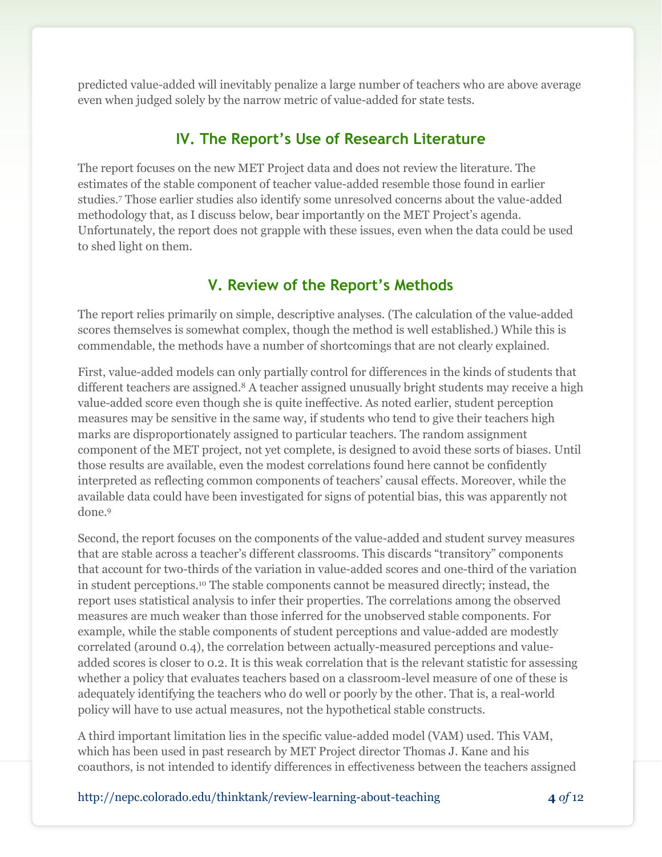predicted value-added will inevitably penalize a large number of teachers who are above average even when judged solely by the narrow metric of value-added for state tests.

### **IV. The Report's Use of Research Literature**

The report focuses on the new MET Project data and does not review the literature. The estimates of the stable component of teacher value-added resemble those found in earlier studies.<sup>7</sup> Those earlier studies also identify some unresolved concerns about the value-added methodology that, as I discuss below, bear importantly on the MET Project's agenda. Unfortunately, the report does not grapple with these issues, even when the data could be used to shed light on them.

## **V. Review of the Report's Methods**

The report relies primarily on simple, descriptive analyses. (The calculation of the value-added scores themselves is somewhat complex, though the method is well established.) While this is commendable, the methods have a number of shortcomings that are not clearly explained.

First, value-added models can only partially control for differences in the kinds of students that different teachers are assigned.<sup>8</sup> A teacher assigned unusually bright students may receive a high value-added score even though she is quite ineffective. As noted earlier, student perception measures may be sensitive in the same way, if students who tend to give their teachers high marks are disproportionately assigned to particular teachers. The random assignment component of the MET project, not yet complete, is designed to avoid these sorts of biases. Until those results are available, even the modest correlations found here cannot be confidently interpreted as reflecting common components of teachers' causal effects. Moreover, while the available data could have been investigated for signs of potential bias, this was apparently not done.<sup>9</sup>

Second, the report focuses on the components of the value-added and student survey measures that are stable across a teacher's different classrooms. This discards "transitory" components that account for two-thirds of the variation in value-added scores and one-third of the variation in student perceptions.<sup>10</sup> The stable components cannot be measured directly; instead, the report uses statistical analysis to infer their properties. The correlations among the observed measures are much weaker than those inferred for the unobserved stable components. For example, while the stable components of student perceptions and value-added are modestly correlated (around 0.4), the correlation between actually-measured perceptions and valueadded scores is closer to 0.2. It is this weak correlation that is the relevant statistic for assessing whether a policy that evaluates teachers based on a classroom-level measure of one of these is adequately identifying the teachers who do well or poorly by the other. That is, a real-world policy will have to use actual measures, not the hypothetical stable constructs.

A third important limitation lies in the specific value-added model (VAM) used. This VAM, which has been used in past research by MET Project director Thomas J. Kane and his coauthors, is not intended to identify differences in effectiveness between the teachers assigned

http://nepc.colorado.edu/thinktank/review-learning-about-teaching **4** *of* 12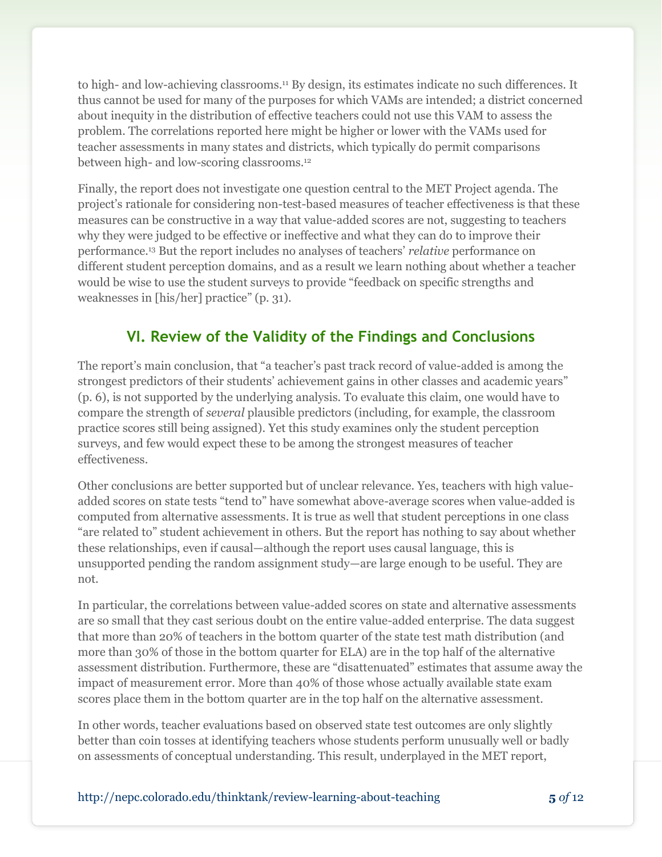to high- and low-achieving classrooms.<sup>11</sup> By design, its estimates indicate no such differences. It thus cannot be used for many of the purposes for which VAMs are intended; a district concerned about inequity in the distribution of effective teachers could not use this VAM to assess the problem. The correlations reported here might be higher or lower with the VAMs used for teacher assessments in many states and districts, which typically do permit comparisons between high- and low-scoring classrooms.<sup>12</sup>

Finally, the report does not investigate one question central to the MET Project agenda. The project's rationale for considering non-test-based measures of teacher effectiveness is that these measures can be constructive in a way that value-added scores are not, suggesting to teachers why they were judged to be effective or ineffective and what they can do to improve their performance.<sup>13</sup> But the report includes no analyses of teachers' *relative* performance on different student perception domains, and as a result we learn nothing about whether a teacher would be wise to use the student surveys to provide "feedback on specific strengths and weaknesses in [his/her] practice" (p. 31).

# **VI. Review of the Validity of the Findings and Conclusions**

The report's main conclusion, that "a teacher's past track record of value-added is among the strongest predictors of their students' achievement gains in other classes and academic years" (p. 6), is not supported by the underlying analysis. To evaluate this claim, one would have to compare the strength of *several* plausible predictors (including, for example, the classroom practice scores still being assigned). Yet this study examines only the student perception surveys, and few would expect these to be among the strongest measures of teacher effectiveness.

Other conclusions are better supported but of unclear relevance. Yes, teachers with high valueadded scores on state tests "tend to" have somewhat above-average scores when value-added is computed from alternative assessments. It is true as well that student perceptions in one class "are related to" student achievement in others. But the report has nothing to say about whether these relationships, even if causal—although the report uses causal language, this is unsupported pending the random assignment study—are large enough to be useful. They are not.

In particular, the correlations between value-added scores on state and alternative assessments are so small that they cast serious doubt on the entire value-added enterprise. The data suggest that more than 20% of teachers in the bottom quarter of the state test math distribution (and more than 30% of those in the bottom quarter for ELA) are in the top half of the alternative assessment distribution. Furthermore, these are "disattenuated" estimates that assume away the impact of measurement error. More than 40% of those whose actually available state exam scores place them in the bottom quarter are in the top half on the alternative assessment.

In other words, teacher evaluations based on observed state test outcomes are only slightly better than coin tosses at identifying teachers whose students perform unusually well or badly on assessments of conceptual understanding. This result, underplayed in the MET report,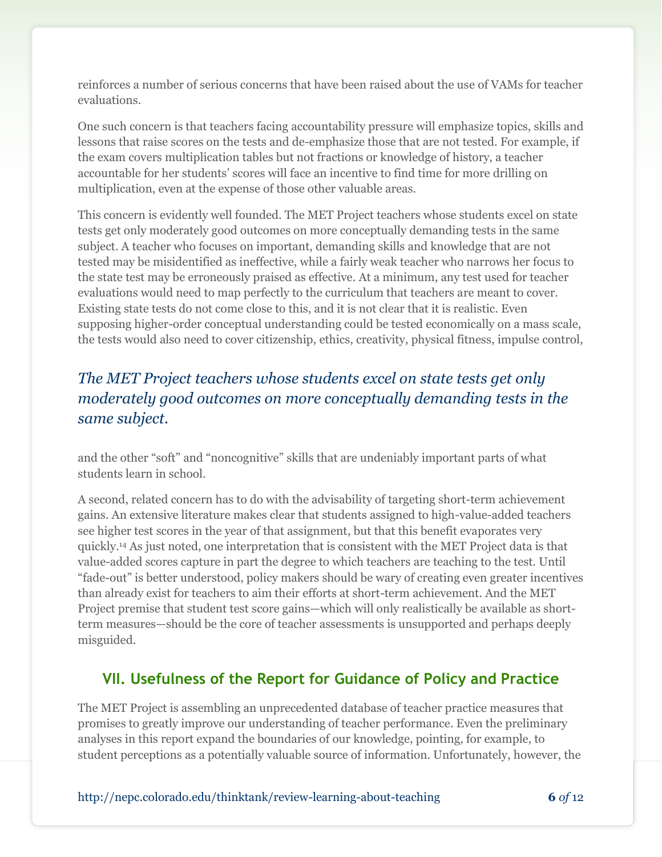reinforces a number of serious concerns that have been raised about the use of VAMs for teacher evaluations.

One such concern is that teachers facing accountability pressure will emphasize topics, skills and lessons that raise scores on the tests and de-emphasize those that are not tested. For example, if the exam covers multiplication tables but not fractions or knowledge of history, a teacher accountable for her students' scores will face an incentive to find time for more drilling on multiplication, even at the expense of those other valuable areas.

This concern is evidently well founded. The MET Project teachers whose students excel on state tests get only moderately good outcomes on more conceptually demanding tests in the same subject. A teacher who focuses on important, demanding skills and knowledge that are not tested may be misidentified as ineffective, while a fairly weak teacher who narrows her focus to the state test may be erroneously praised as effective. At a minimum, any test used for teacher evaluations would need to map perfectly to the curriculum that teachers are meant to cover. Existing state tests do not come close to this, and it is not clear that it is realistic. Even supposing higher-order conceptual understanding could be tested economically on a mass scale, the tests would also need to cover citizenship, ethics, creativity, physical fitness, impulse control,

# *The MET Project teachers whose students excel on state tests get only moderately good outcomes on more conceptually demanding tests in the same subject.*

and the other "soft" and "noncognitive" skills that are undeniably important parts of what students learn in school.

A second, related concern has to do with the advisability of targeting short-term achievement gains. An extensive literature makes clear that students assigned to high-value-added teachers see higher test scores in the year of that assignment, but that this benefit evaporates very quickly.<sup>14</sup> As just noted, one interpretation that is consistent with the MET Project data is that value-added scores capture in part the degree to which teachers are teaching to the test. Until "fade-out" is better understood, policy makers should be wary of creating even greater incentives than already exist for teachers to aim their efforts at short-term achievement. And the MET Project premise that student test score gains—which will only realistically be available as shortterm measures—should be the core of teacher assessments is unsupported and perhaps deeply misguided.

# **VII. Usefulness of the Report for Guidance of Policy and Practice**

The MET Project is assembling an unprecedented database of teacher practice measures that promises to greatly improve our understanding of teacher performance. Even the preliminary analyses in this report expand the boundaries of our knowledge, pointing, for example, to student perceptions as a potentially valuable source of information. Unfortunately, however, the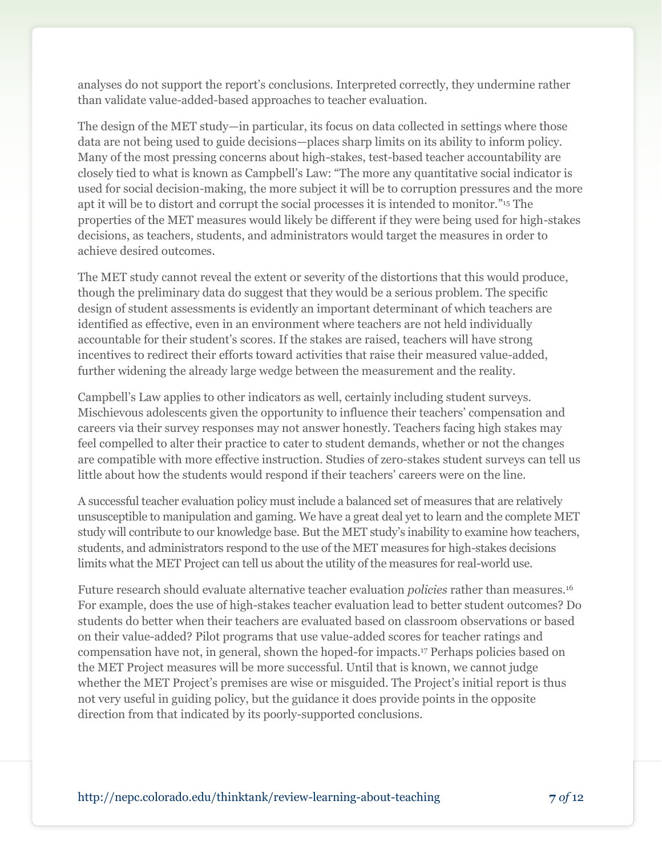analyses do not support the report's conclusions. Interpreted correctly, they undermine rather than validate value-added-based approaches to teacher evaluation.

The design of the MET study—in particular, its focus on data collected in settings where those data are not being used to guide decisions—places sharp limits on its ability to inform policy. Many of the most pressing concerns about high-stakes, test-based teacher accountability are closely tied to what is known as Campbell's Law: "The more any quantitative social indicator is used for social decision-making, the more subject it will be to corruption pressures and the more apt it will be to distort and corrupt the social processes it is intended to monitor." <sup>15</sup> The properties of the MET measures would likely be different if they were being used for high-stakes decisions, as teachers, students, and administrators would target the measures in order to achieve desired outcomes.

The MET study cannot reveal the extent or severity of the distortions that this would produce, though the preliminary data do suggest that they would be a serious problem. The specific design of student assessments is evidently an important determinant of which teachers are identified as effective, even in an environment where teachers are not held individually accountable for their student's scores. If the stakes are raised, teachers will have strong incentives to redirect their efforts toward activities that raise their measured value-added, further widening the already large wedge between the measurement and the reality.

Campbell's Law applies to other indicators as well, certainly including student surveys. Mischievous adolescents given the opportunity to influence their teachers' compensation and careers via their survey responses may not answer honestly. Teachers facing high stakes may feel compelled to alter their practice to cater to student demands, whether or not the changes are compatible with more effective instruction. Studies of zero-stakes student surveys can tell us little about how the students would respond if their teachers' careers were on the line.

A successful teacher evaluation policy must include a balanced set of measures that are relatively unsusceptible to manipulation and gaming. We have a great deal yet to learn and the complete MET study will contribute to our knowledge base. But the MET study's inability to examine how teachers, students, and administrators respond to the use of the MET measures for high-stakes decisions limits what the MET Project can tell us about the utility of the measures for real-world use.

Future research should evaluate alternative teacher evaluation *policies* rather than measures.<sup>16</sup> For example, does the use of high-stakes teacher evaluation lead to better student outcomes? Do students do better when their teachers are evaluated based on classroom observations or based on their value-added? Pilot programs that use value-added scores for teacher ratings and compensation have not, in general, shown the hoped-for impacts.<sup>17</sup> Perhaps policies based on the MET Project measures will be more successful. Until that is known, we cannot judge whether the MET Project's premises are wise or misguided. The Project's initial report is thus not very useful in guiding policy, but the guidance it does provide points in the opposite direction from that indicated by its poorly-supported conclusions.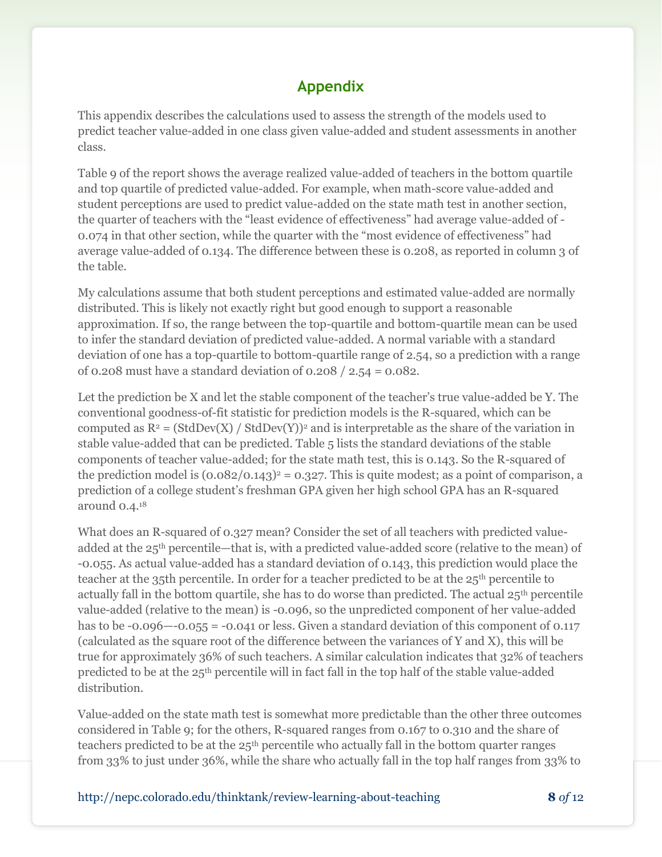## **Appendix**

This appendix describes the calculations used to assess the strength of the models used to predict teacher value-added in one class given value-added and student assessments in another class.

Table 9 of the report shows the average realized value-added of teachers in the bottom quartile and top quartile of predicted value-added. For example, when math-score value-added and student perceptions are used to predict value-added on the state math test in another section, the quarter of teachers with the "least evidence of effectiveness" had average value-added of - 0.074 in that other section, while the quarter with the "most evidence of effectiveness" had average value-added of 0.134. The difference between these is 0.208, as reported in column 3 of the table.

My calculations assume that both student perceptions and estimated value-added are normally distributed. This is likely not exactly right but good enough to support a reasonable approximation. If so, the range between the top-quartile and bottom-quartile mean can be used to infer the standard deviation of predicted value-added. A normal variable with a standard deviation of one has a top-quartile to bottom-quartile range of 2.54, so a prediction with a range of 0.208 must have a standard deviation of 0.208 / 2.54 = 0.082.

Let the prediction be X and let the stable component of the teacher's true value-added be Y. The conventional goodness-of-fit statistic for prediction models is the R-squared, which can be computed as  $R^2 = (StdDev(X) / StdDev(Y))^2$  and is interpretable as the share of the variation in stable value-added that can be predicted. Table 5 lists the standard deviations of the stable components of teacher value-added; for the state math test, this is 0.143. So the R-squared of the prediction model is  $(0.082/0.143)^2 = 0.327$ . This is quite modest; as a point of comparison, a prediction of a college student's freshman GPA given her high school GPA has an R-squared around 0.4.<sup>18</sup>

What does an R-squared of 0.327 mean? Consider the set of all teachers with predicted valueadded at the 25th percentile—that is, with a predicted value-added score (relative to the mean) of -0.055. As actual value-added has a standard deviation of 0.143, this prediction would place the teacher at the 35th percentile. In order for a teacher predicted to be at the 25th percentile to actually fall in the bottom quartile, she has to do worse than predicted. The actual 25<sup>th</sup> percentile value-added (relative to the mean) is -0.096, so the unpredicted component of her value-added has to be  $-0.096 - 0.055 = -0.041$  or less. Given a standard deviation of this component of 0.117 (calculated as the square root of the difference between the variances of Y and X), this will be true for approximately 36% of such teachers. A similar calculation indicates that 32% of teachers predicted to be at the 25th percentile will in fact fall in the top half of the stable value-added distribution.

Value-added on the state math test is somewhat more predictable than the other three outcomes considered in Table 9; for the others, R-squared ranges from 0.167 to 0.310 and the share of teachers predicted to be at the 25th percentile who actually fall in the bottom quarter ranges from 33% to just under 36%, while the share who actually fall in the top half ranges from 33% to

http://nepc.colorado.edu/thinktank/review-learning-about-teaching **8** *of* 12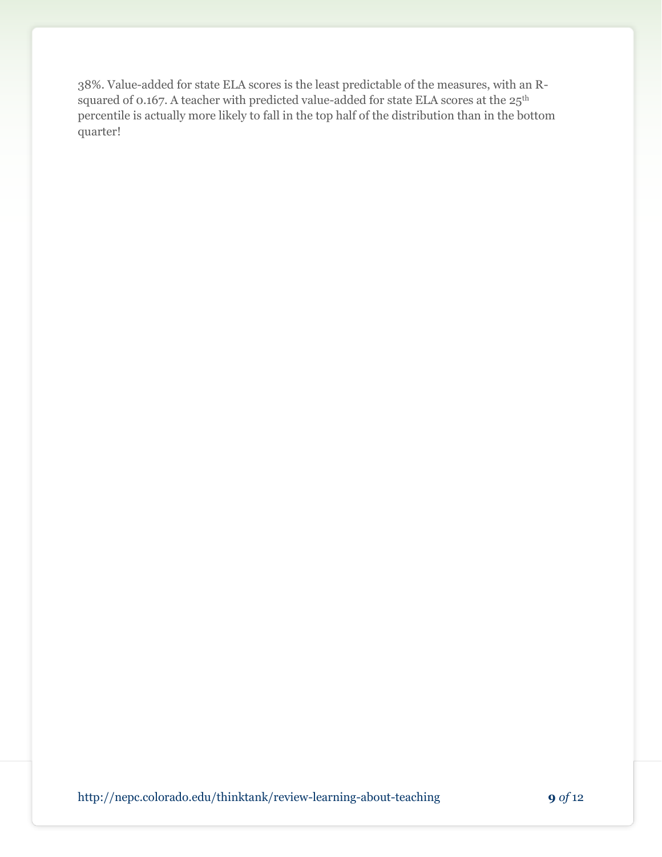38%. Value-added for state ELA scores is the least predictable of the measures, with an Rsquared of 0.167. A teacher with predicted value-added for state ELA scores at the 25<sup>th</sup> percentile is actually more likely to fall in the top half of the distribution than in the bottom quarter!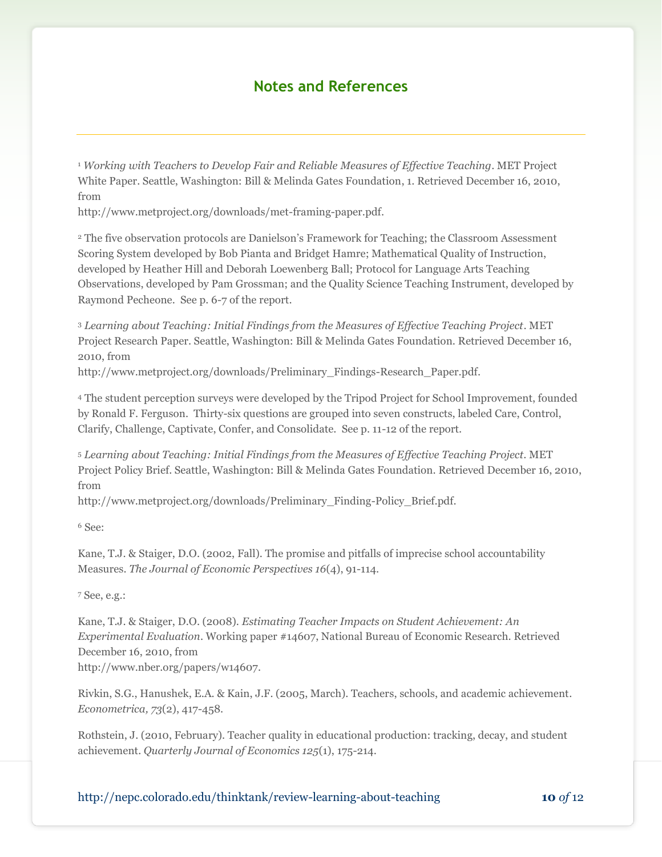#### **Notes and References**

<sup>1</sup> *Working with Teachers to Develop Fair and Reliable Measures of Effective Teaching*. MET Project White Paper. Seattle, Washington: Bill & Melinda Gates Foundation, 1. Retrieved December 16, 2010, from

http://www.metproject.org/downloads/met-framing-paper.pdf.

<sup>2</sup> The five observation protocols are Danielson's Framework for Teaching; the Classroom Assessment Scoring System developed by Bob Pianta and Bridget Hamre; Mathematical Quality of Instruction, developed by Heather Hill and Deborah Loewenberg Ball; Protocol for Language Arts Teaching Observations, developed by Pam Grossman; and the Quality Science Teaching Instrument, developed by Raymond Pecheone. See p. 6-7 of the report.

<sup>3</sup> *Learning about Teaching: Initial Findings from the Measures of Effective Teaching Project*. MET Project Research Paper. Seattle, Washington: Bill & Melinda Gates Foundation. Retrieved December 16, 2010, from

http://www.metproject.org/downloads/Preliminary\_Findings-Research\_Paper.pdf.

<sup>4</sup> The student perception surveys were developed by the Tripod Project for School Improvement, founded by Ronald F. Ferguson. Thirty-six questions are grouped into seven constructs, labeled Care, Control, Clarify, Challenge, Captivate, Confer, and Consolidate. See p. 11-12 of the report.

<sup>5</sup> *Learning about Teaching: Initial Findings from the Measures of Effective Teaching Project*. MET Project Policy Brief. Seattle, Washington: Bill & Melinda Gates Foundation. Retrieved December 16, 2010, from

http://www.metproject.org/downloads/Preliminary\_Finding-Policy\_Brief.pdf.

<sup>6</sup> See:

Kane, T.J. & Staiger, D.O. (2002, Fall). The promise and pitfalls of imprecise school accountability Measures. *The Journal of Economic Perspectives 16*(4), 91-114.

<sup>7</sup> See, e.g.:

Kane, T.J. & Staiger, D.O. (2008). *Estimating Teacher Impacts on Student Achievement: An Experimental Evaluation*. Working paper #14607, National Bureau of Economic Research. Retrieved December 16, 2010, from

http://www.nber.org/papers/w14607.

Rivkin, S.G., Hanushek, E.A. & Kain, J.F. (2005, March). Teachers, schools, and academic achievement. *Econometrica, 73*(2), 417-458.

Rothstein, J. (2010, February). Teacher quality in educational production: tracking, decay, and student achievement. *Quarterly Journal of Economics 125*(1), 175-214.

http://nepc.colorado.edu/thinktank/review-learning-about-teaching **10** *of* 12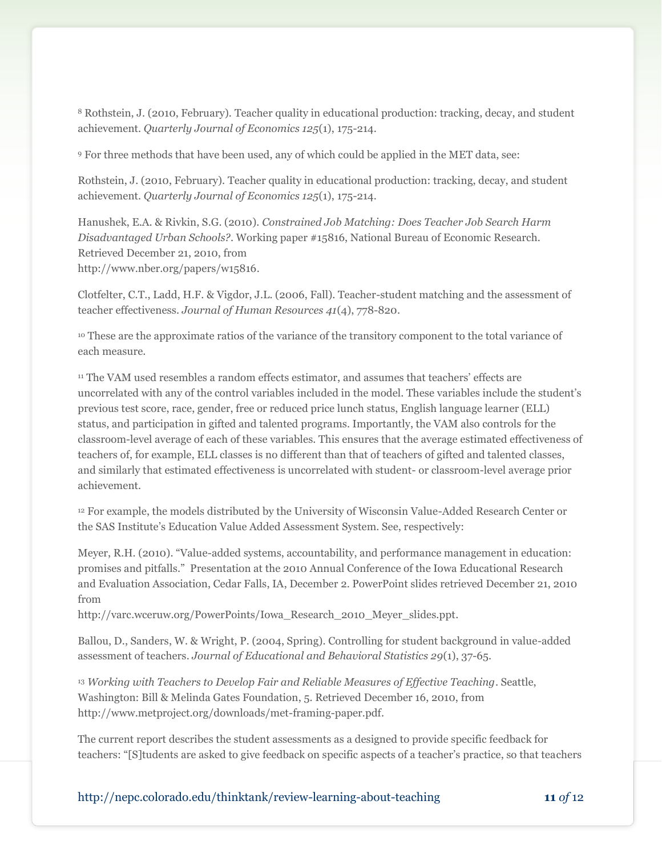<sup>8</sup> Rothstein, J. (2010, February). Teacher quality in educational production: tracking, decay, and student achievement. *Quarterly Journal of Economics 125*(1), 175-214.

<sup>9</sup> For three methods that have been used, any of which could be applied in the MET data, see:

Rothstein, J. (2010, February). Teacher quality in educational production: tracking, decay, and student achievement. *Quarterly Journal of Economics 125*(1), 175-214.

Hanushek, E.A. & Rivkin, S.G. (2010). *Constrained Job Matching: Does Teacher Job Search Harm Disadvantaged Urban Schools?*. Working paper #15816, National Bureau of Economic Research. Retrieved December 21, 2010, from http://www.nber.org/papers/w15816.

Clotfelter, C.T., Ladd, H.F. & Vigdor, J.L. (2006, Fall). Teacher-student matching and the assessment of teacher effectiveness. *Journal of Human Resources 41*(4), 778-820.

<sup>10</sup> These are the approximate ratios of the variance of the transitory component to the total variance of each measure.

<sup>11</sup> The VAM used resembles a random effects estimator, and assumes that teachers' effects are uncorrelated with any of the control variables included in the model. These variables include the student's previous test score, race, gender, free or reduced price lunch status, English language learner (ELL) status, and participation in gifted and talented programs. Importantly, the VAM also controls for the classroom-level average of each of these variables. This ensures that the average estimated effectiveness of teachers of, for example, ELL classes is no different than that of teachers of gifted and talented classes, and similarly that estimated effectiveness is uncorrelated with student- or classroom-level average prior achievement.

<sup>12</sup> For example, the models distributed by the University of Wisconsin Value-Added Research Center or the SAS Institute's Education Value Added Assessment System. See, respectively:

Meyer, R.H. (2010). "Value-added systems, accountability, and performance management in education: promises and pitfalls." Presentation at the 2010 Annual Conference of the Iowa Educational Research and Evaluation Association, Cedar Falls, IA, December 2. PowerPoint slides retrieved December 21, 2010 from

http://varc.wceruw.org/PowerPoints/Iowa\_Research\_2010\_Meyer\_slides.ppt.

Ballou, D., Sanders, W. & Wright, P. (2004, Spring). Controlling for student background in value-added assessment of teachers. *Journal of Educational and Behavioral Statistics 29*(1), 37-65.

<sup>13</sup> *Working with Teachers to Develop Fair and Reliable Measures of Effective Teaching*. Seattle, Washington: Bill & Melinda Gates Foundation, 5. Retrieved December 16, 2010, from http://www.metproject.org/downloads/met-framing-paper.pdf.

The current report describes the student assessments as a designed to provide specific feedback for teachers: "[S]tudents are asked to give feedback on specific aspects of a teacher's practice, so that teachers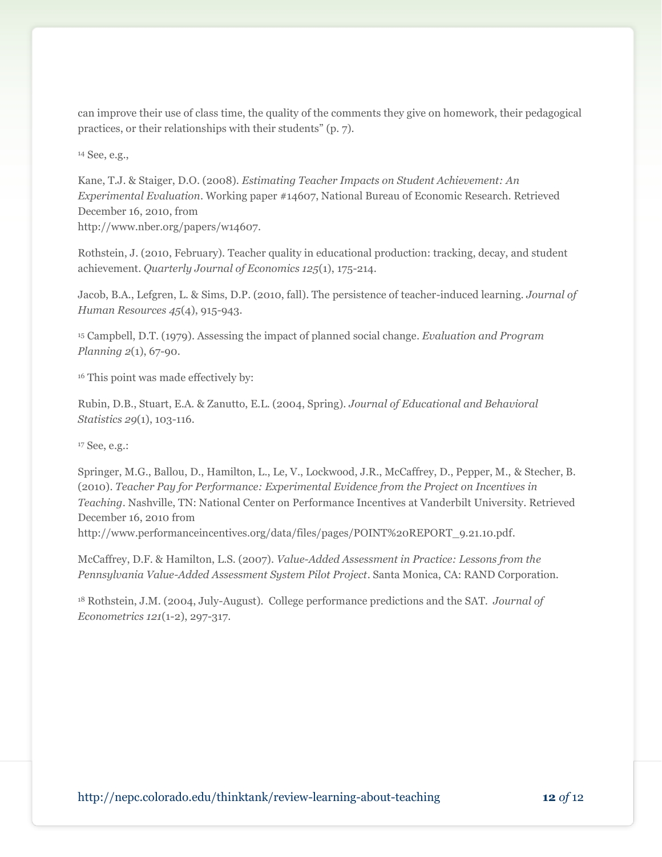can improve their use of class time, the quality of the comments they give on homework, their pedagogical practices, or their relationships with their students" (p. 7).

<sup>14</sup> See, e.g.,

Kane, T.J. & Staiger, D.O. (2008). *Estimating Teacher Impacts on Student Achievement: An Experimental Evaluation*. Working paper #14607, National Bureau of Economic Research. Retrieved December 16, 2010, from

http://www.nber.org/papers/w14607.

Rothstein, J. (2010, February). Teacher quality in educational production: tracking, decay, and student achievement. *Quarterly Journal of Economics 125*(1), 175-214.

Jacob, B.A., Lefgren, L. & Sims, D.P. (2010, fall). The persistence of teacher-induced learning. *Journal of Human Resources 45*(4), 915-943.

<sup>15</sup> Campbell, D.T. (1979). Assessing the impact of planned social change. *Evaluation and Program Planning 2*(1), 67-90.

<sup>16</sup> This point was made effectively by:

Rubin, D.B., Stuart, E.A. & Zanutto, E.L. (2004, Spring). *Journal of Educational and Behavioral Statistics 29*(1), 103-116.

<sup>17</sup> See, e.g.:

Springer, M.G., Ballou, D., Hamilton, L., Le, V., Lockwood, J.R., McCaffrey, D., Pepper, M., & Stecher, B. (2010). *Teacher Pay for Performance: Experimental Evidence from the Project on Incentives in Teaching*. Nashville, TN: National Center on Performance Incentives at Vanderbilt University. Retrieved December 16, 2010 from

http://www.performanceincentives.org/data/files/pages/POINT%20REPORT\_9.21.10.pdf.

McCaffrey, D.F. & Hamilton, L.S. (2007). *Value-Added Assessment in Practice: Lessons from the Pennsylvania Value-Added Assessment System Pilot Project*. Santa Monica, CA: RAND Corporation.

<sup>18</sup> Rothstein, J.M. (2004, July-August). College performance predictions and the SAT. *Journal of Econometrics 121*(1-2), 297-317.